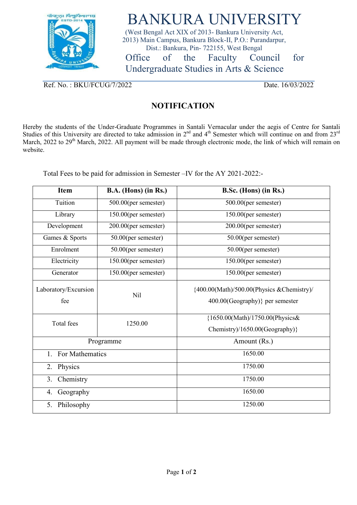

## BANKURA UNIVERSITY

(West Bengal Act XIX of 2013- Bankura University Act, 2013) Main Campus, Bankura Block-II, P.O.: Purandarpur, Dist.: Bankura, Pin- 722155, West Bengal Office of the Faculty Council for

Undergraduate Studies in Arts & Science

Ref. No.: BKU/FCUG/7/2022 Date. 16/03/2022

## **NOTIFICATION**

Hereby the students of the Under-Graduate Programmes in Santali Vernacular under the aegis of Centre for Santali Studies of this University are directed to take admission in  $2^{nd}$  and  $4^{th}$  Semester which will continue on and from  $23^{rd}$ March, 2022 to 29<sup>th</sup> March, 2022. All payment will be made through electronic mode, the link of which will remain on website.

Total Fees to be paid for admission in Semester –IV for the AY 2021-2022:-

| <b>Item</b>                 | B.A. (Hons) (in Rs.) | B.Sc. (Hons) (in Rs.)                                                         |
|-----------------------------|----------------------|-------------------------------------------------------------------------------|
| Tuition                     | 500.00(per semester) | 500.00(per semester)                                                          |
| Library                     | 150.00(per semester) | 150.00(per semester)                                                          |
| Development                 | 200.00(per semester) | 200.00(per semester)                                                          |
| Games & Sports              | 50.00(per semester)  | 50.00(per semester)                                                           |
| Enrolment                   | 50.00(per semester)  | 50.00(per semester)                                                           |
| Electricity                 | 150.00(per semester) | 150.00(per semester)                                                          |
| Generator                   | 150.00(per semester) | 150.00(per semester)                                                          |
| Laboratory/Excursion<br>fee | Nil                  | {400.00(Math)/500.00(Physics & Chemistry)/<br>400.00(Geography)} per semester |
| Total fees                  | 1250.00              | {1650.00(Math)/1750.00(Physics&<br>Chemistry)/1650.00(Geography)}             |
| Programme                   |                      | Amount (Rs.)                                                                  |
| For Mathematics<br>1.       |                      | 1650.00                                                                       |
| Physics<br>2.               |                      | 1750.00                                                                       |
| Chemistry<br>3.             |                      | 1750.00                                                                       |
| Geography<br>4.             |                      | 1650.00                                                                       |
| 5. Philosophy               |                      | 1250.00                                                                       |